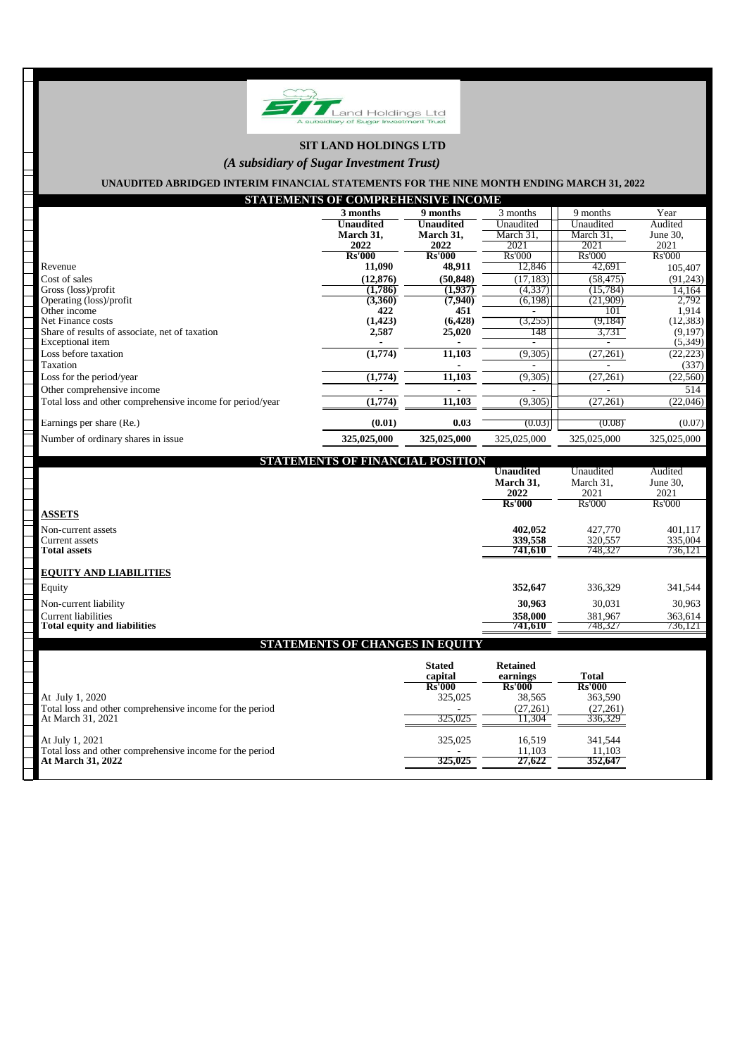

# **SIT LAND HOLDINGS LTD**

## *(A subsidiary of Sugar Investment Trust)*

## **UNAUDITED ABRIDGED INTERIM FINANCIAL STATEMENTS FOR THE NINE MONTH ENDING MARCH 31, 2022**

| STATEMENTS OF COMPREHENSIVE INCOME                        |                  |               |               |             |             |  |
|-----------------------------------------------------------|------------------|---------------|---------------|-------------|-------------|--|
|                                                           | 3 months         | 9 months      | 3 months      | 9 months    | Year        |  |
|                                                           | <b>Unaudited</b> | Unaudited     | Unaudited     | Unaudited   | Audited     |  |
|                                                           | March 31,        | March 31,     | March 31.     | March 31.   | June 30,    |  |
|                                                           | 2022             | 2022          | 2021          | 2021        | 2021        |  |
|                                                           | <b>Rs'000</b>    | <b>Rs'000</b> | <b>Rs'000</b> | Rs'000      | Rs'000      |  |
| Revenue                                                   | 11,090           | 48,911        | 12,846        | 42,691      | 105,407     |  |
| Cost of sales                                             | (12, 876)        | (50, 848)     | (17, 183)     | (58, 475)   | (91,243)    |  |
| Gross (loss)/profit                                       | (1, 786)         | (1,937)       | (4, 337)      | (15, 784)   | 14,164      |  |
| Operating (loss)/profit                                   | (3,360)          | (7,940)       | (6,198)       | (21,909)    | 2,792       |  |
| Other income                                              | 422              | 451           |               | 101         | 1,914       |  |
| Net Finance costs                                         | (1, 423)         | (6, 428)      | (3,255)       | (9,184)     | (12, 383)   |  |
| Share of results of associate, net of taxation            | 2,587            | 25,020        | 148           | 3,731       | (9,197)     |  |
| Exceptional item                                          |                  |               |               |             | (5,349)     |  |
| Loss before taxation                                      | (1,774)          | 11,103        | (9,305)       | (27, 261)   | (22, 223)   |  |
| Taxation                                                  |                  |               |               |             | (337)       |  |
| Loss for the period/year                                  | (1,774)          | 11,103        | (9,305)       | (27, 261)   | (22,560)    |  |
| Other comprehensive income                                |                  |               |               |             | 514         |  |
| Total loss and other comprehensive income for period/year | (1,774)          | 11,103        | (9,305)       | (27, 261)   | (22,046)    |  |
| Earnings per share (Re.)                                  | (0.01)           | 0.03          | (0.03)        | (0.08)      | (0.07)      |  |
| Number of ordinary shares in issue.                       | 325,025,000      | 325,025,000   | 325,025,000   | 325,025,000 | 325,025,000 |  |

| <b>POSITION</b><br><b>STATEMEN</b>     |                  |               |               |
|----------------------------------------|------------------|---------------|---------------|
|                                        | <b>Unaudited</b> | Unaudited     | Audited       |
|                                        | March 31,        | March 31,     | June $30$ .   |
|                                        | 2022             | 2021          | 2021          |
|                                        | <b>Rs'000</b>    | <b>Rs'000</b> | <b>Rs'000</b> |
| <b>ASSETS</b>                          |                  |               |               |
| Non-current assets                     | 402,052          | 427,770       | 401,117       |
| Current assets                         | 339,558          | 320,557       | 335,004       |
| <b>Total assets</b>                    | 741,610          | 748,327       | 736,121       |
| <b>EQUITY AND LIABILITIES</b>          |                  |               |               |
| Equity                                 | 352,647          | 336,329       | 341,544       |
| Non-current liability                  | 30,963           | 30,031        | 30,963        |
| <b>Current liabilities</b>             | 358,000          | 381,967       | 363,614       |
| <b>Total equity and liabilities</b>    | 741,610          | 748,327       | 736,121       |
| <b>STATEMENTS OF CHANGES IN EQUITY</b> |                  |               |               |

|                                                                             | <b>Stated</b><br>capital<br><b>Rs'000</b> | <b>Retained</b><br>earnings<br><b>Rs'000</b> | <b>Total</b><br><b>Rs'000</b> |
|-----------------------------------------------------------------------------|-------------------------------------------|----------------------------------------------|-------------------------------|
| At July 1, 2020<br>Total loss and other comprehensive income for the period | 325,025                                   | 38,565<br>(27,261)                           | 363,590<br>(27,261)           |
| At March 31, 2021                                                           | 325.025                                   | .1.304                                       | 336.329                       |
| At July 1, 2021                                                             | 325,025                                   | 16.519                                       | 341,544                       |
| Total loss and other comprehensive income for the period                    |                                           | 11.103                                       | 11,103                        |
| <b>At March 31, 2022</b>                                                    | 325,025                                   | 27,622                                       | 352.647                       |